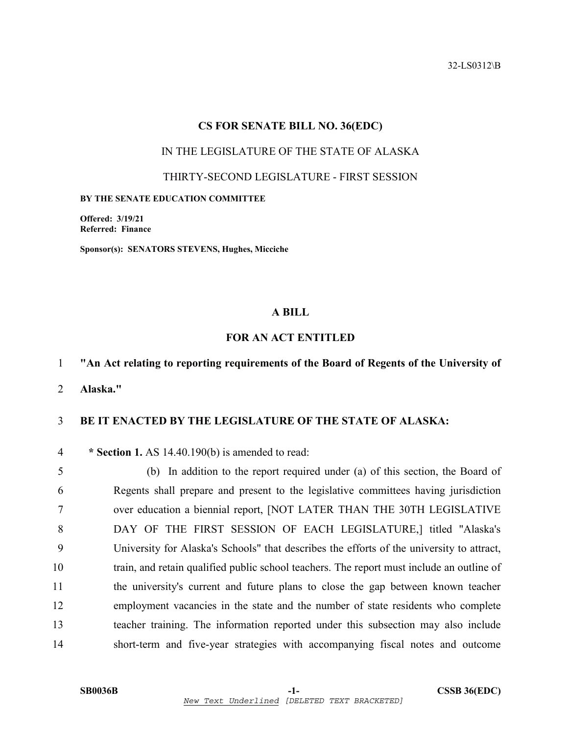32-LS0312\B

### **CS FOR SENATE BILL NO. 36(EDC)**

### IN THE LEGISLATURE OF THE STATE OF ALASKA

#### THIRTY-SECOND LEGISLATURE - FIRST SESSION

### **BY THE SENATE EDUCATION COMMITTEE**

**Offered: 3/19/21 Referred: Finance** 

**Sponsor(s): SENATORS STEVENS, Hughes, Micciche** 

# **A BILL**

## **FOR AN ACT ENTITLED**

## 1 **"An Act relating to reporting requirements of the Board of Regents of the University of**

2 **Alaska."** 

# 3 **BE IT ENACTED BY THE LEGISLATURE OF THE STATE OF ALASKA:**

#### 4 **\* Section 1.** AS 14.40.190(b) is amended to read:

5 (b) In addition to the report required under (a) of this section, the Board of 6 Regents shall prepare and present to the legislative committees having jurisdiction 7 over education a biennial report, [NOT LATER THAN THE 30TH LEGISLATIVE 8 DAY OF THE FIRST SESSION OF EACH LEGISLATURE,] titled "Alaska's 9 University for Alaska's Schools" that describes the efforts of the university to attract, 10 train, and retain qualified public school teachers. The report must include an outline of 11 the university's current and future plans to close the gap between known teacher 12 employment vacancies in the state and the number of state residents who complete 13 teacher training. The information reported under this subsection may also include 14 short-term and five-year strategies with accompanying fiscal notes and outcome